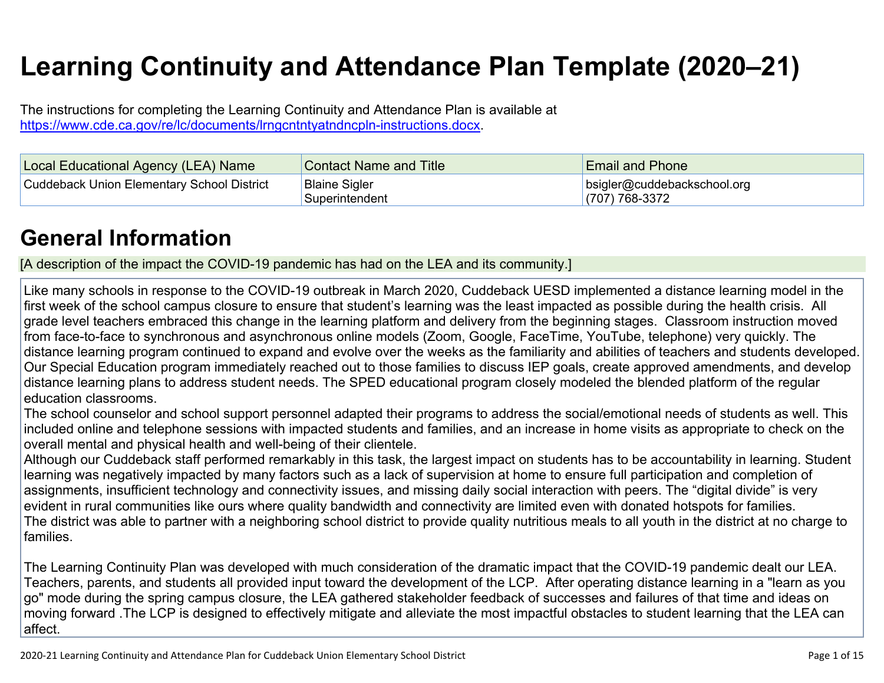# **Learning Continuity and Attendance Plan Template (2020–21)**

The instructions for completing the Learning Continuity and Attendance Plan is available at <https://www.cde.ca.gov/re/lc/documents/lrngcntntyatndncpln-instructions.docx>.

| Local Educational Agency (LEA) Name               | <b>Contact Name and Title</b>          | <b>Email and Phone</b>                            |
|---------------------------------------------------|----------------------------------------|---------------------------------------------------|
| <b>Cuddeback Union Elementary School District</b> | <b>Blaine Sigler</b><br>Superintendent | bsigler@cuddebackschool.org<br>$(707) 768 - 3372$ |

# **General [Information](http://www.doc-tracking.com/screenshots/20LCP/Instructions/20LCPInstructions.htm#generalinformation)**

[A description of the impact the COVID-19 pandemic has had on the LEA and its community.]

Like many schools in response to the COVID-19 outbreak in March 2020, Cuddeback UESD implemented a distance learning model in the first week of the school campus closure to ensure that student's learning was the least impacted as possible during the health crisis. All grade level teachers embraced this change in the learning platform and delivery from the beginning stages. Classroom instruction moved from face-to-face to synchronous and asynchronous online models (Zoom, Google, FaceTime, YouTube, telephone) very quickly. The distance learning program continued to expand and evolve over the weeks as the familiarity and abilities of teachers and students developed. Our Special Education program immediately reached out to those families to discuss IEP goals, create approved amendments, and develop distance learning plans to address student needs. The SPED educational program closely modeled the blended platform of the regular education classrooms.

The school counselor and school support personnel adapted their programs to address the social/emotional needs of students as well. This included online and telephone sessions with impacted students and families, and an increase in home visits as appropriate to check on the overall mental and physical health and well-being of their clientele.

Although our Cuddeback staff performed remarkably in this task, the largest impact on students has to be accountability in learning. Student learning was negatively impacted by many factors such as a lack of supervision at home to ensure full participation and completion of assignments, insufficient technology and connectivity issues, and missing daily social interaction with peers. The "digital divide" is very evident in rural communities like ours where quality bandwidth and connectivity are limited even with donated hotspots for families. The district was able to partner with a neighboring school district to provide quality nutritious meals to all youth in the district at no charge to families.

The Learning Continuity Plan was developed with much consideration of the dramatic impact that the COVID-19 pandemic dealt our LEA. Teachers, parents, and students all provided input toward the development of the LCP. After operating distance learning in a "learn as you go" mode during the spring campus closure, the LEA gathered stakeholder feedback of successes and failures of that time and ideas on moving forward .The LCP is designed to effectively mitigate and alleviate the most impactful obstacles to student learning that the LEA can affect.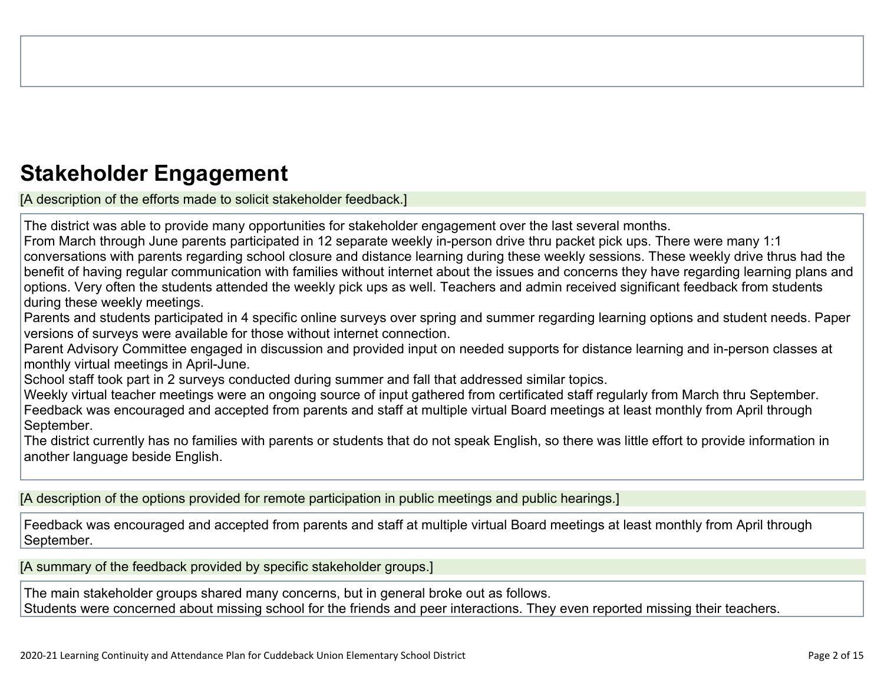# **Stakeholder [Engagement](http://www.doc-tracking.com/screenshots/20LCP/Instructions/20LCPInstructions.htm#stakeholderengagement)**

[A description of the efforts made to solicit stakeholder feedback.]

The district was able to provide many opportunities for stakeholder engagement over the last several months.

From March through June parents participated in 12 separate weekly in-person drive thru packet pick ups. There were many 1:1 conversations with parents regarding school closure and distance learning during these weekly sessions. These weekly drive thrus had the benefit of having regular communication with families without internet about the issues and concerns they have regarding learning plans and options. Very often the students attended the weekly pick ups as well. Teachers and admin received significant feedback from students during these weekly meetings.

Parents and students participated in 4 specific online surveys over spring and summer regarding learning options and student needs. Paper versions of surveys were available for those without internet connection.

Parent Advisory Committee engaged in discussion and provided input on needed supports for distance learning and in-person classes at monthly virtual meetings in April-June.

School staff took part in 2 surveys conducted during summer and fall that addressed similar topics.

Weekly virtual teacher meetings were an ongoing source of input gathered from certificated staff regularly from March thru September. Feedback was encouraged and accepted from parents and staff at multiple virtual Board meetings at least monthly from April through September.

The district currently has no families with parents or students that do not speak English, so there was little effort to provide information in another language beside English.

[A description of the options provided for remote participation in public meetings and public hearings.]

Feedback was encouraged and accepted from parents and staff at multiple virtual Board meetings at least monthly from April through September.

[A summary of the feedback provided by specific stakeholder groups.]

The main stakeholder groups shared many concerns, but in general broke out as follows. Students were concerned about missing school for the friends and peer interactions. They even reported missing their teachers.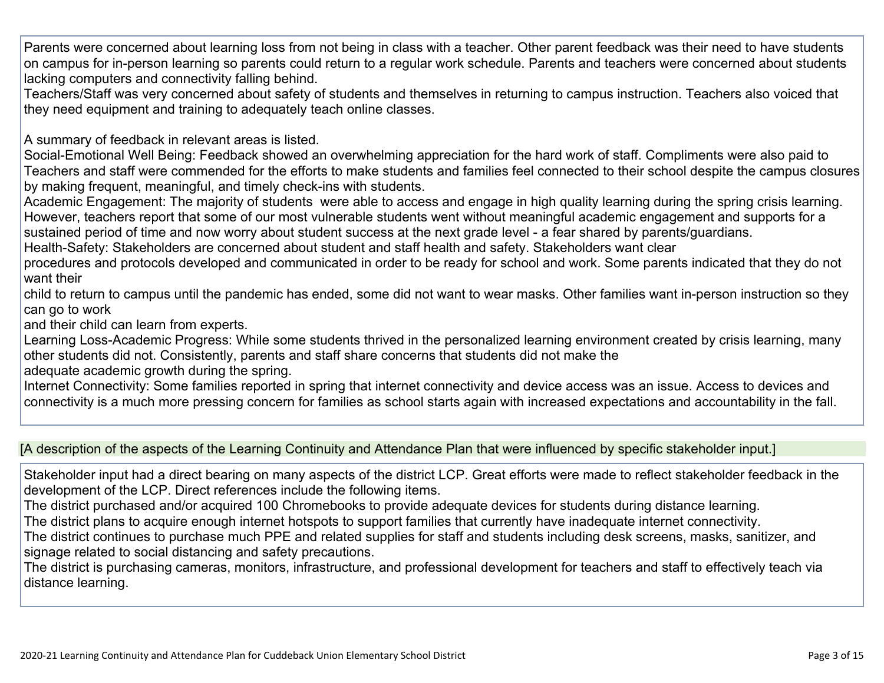Parents were concerned about learning loss from not being in class with a teacher. Other parent feedback was their need to have students on campus for in-person learning so parents could return to a regular work schedule. Parents and teachers were concerned about students lacking computers and connectivity falling behind.

Teachers/Staff was very concerned about safety of students and themselves in returning to campus instruction. Teachers also voiced that they need equipment and training to adequately teach online classes.

A summary of feedback in relevant areas is listed.

Social-Emotional Well Being: Feedback showed an overwhelming appreciation for the hard work of staff. Compliments were also paid to Teachers and staff were commended for the efforts to make students and families feel connected to their school despite the campus closures by making frequent, meaningful, and timely check-ins with students.

Academic Engagement: The majority of students were able to access and engage in high quality learning during the spring crisis learning. However, teachers report that some of our most vulnerable students went without meaningful academic engagement and supports for a sustained period of time and now worry about student success at the next grade level - a fear shared by parents/guardians.

Health-Safety: Stakeholders are concerned about student and staff health and safety. Stakeholders want clear

procedures and protocols developed and communicated in order to be ready for school and work. Some parents indicated that they do not want their

child to return to campus until the pandemic has ended, some did not want to wear masks. Other families want in-person instruction so they can go to work

and their child can learn from experts.

Learning Loss-Academic Progress: While some students thrived in the personalized learning environment created by crisis learning, many other students did not. Consistently, parents and staff share concerns that students did not make the

adequate academic growth during the spring.

Internet Connectivity: Some families reported in spring that internet connectivity and device access was an issue. Access to devices and connectivity is a much more pressing concern for families as school starts again with increased expectations and accountability in the fall.

#### [A description of the aspects of the Learning Continuity and Attendance Plan that were influenced by specific stakeholder input.]

Stakeholder input had a direct bearing on many aspects of the district LCP. Great efforts were made to reflect stakeholder feedback in the development of the LCP. Direct references include the following items.

The district purchased and/or acquired 100 Chromebooks to provide adequate devices for students during distance learning.

The district plans to acquire enough internet hotspots to support families that currently have inadequate internet connectivity.

The district continues to purchase much PPE and related supplies for staff and students including desk screens, masks, sanitizer, and signage related to social distancing and safety precautions.

The district is purchasing cameras, monitors, infrastructure, and professional development for teachers and staff to effectively teach via distance learning.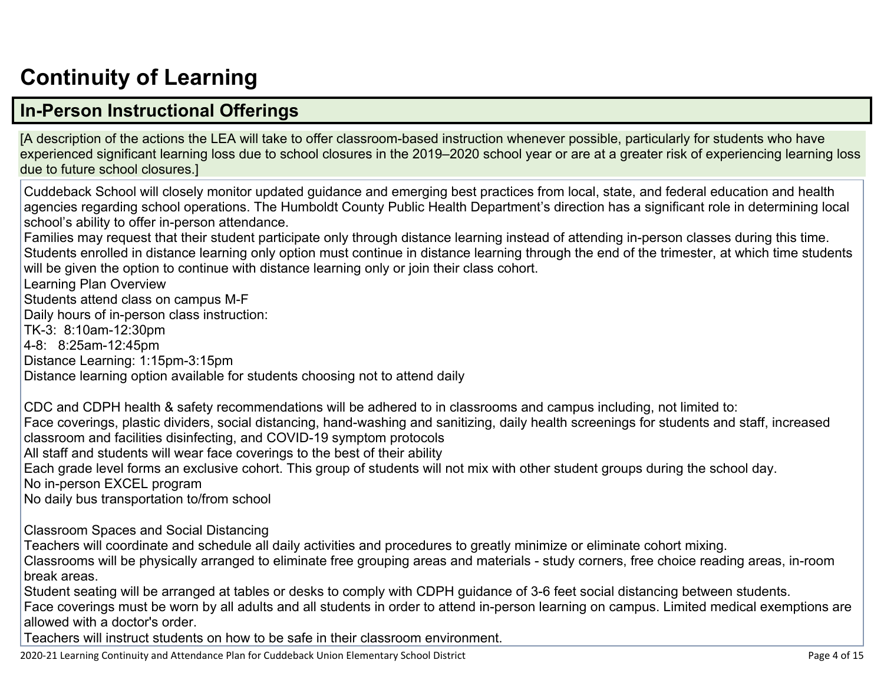# **[Continuity](http://www.doc-tracking.com/screenshots/20LCP/Instructions/20LCPInstructions.htm#ContinuityofLearning) of Learnin[g](http://www.doc-tracking.com/screenshots/20LCP/Instructions/20LCPInstructions.htm#ContinuityofLearning)**

## **In-Person [Instructional](http://www.doc-tracking.com/screenshots/20LCP/Instructions/20LCPInstructions.htm#ContinuityofLearning1) Offerings**

[A description of the actions the LEA will take to offer classroom-based instruction whenever possible, particularly for students who have experienced significant learning loss due to school closures in the 2019–2020 school year or are at a greater risk of experiencing learning loss due to future school closures.]

Cuddeback School will closely monitor updated guidance and emerging best practices from local, state, and federal education and health agencies regarding school operations. The Humboldt County Public Health Department's direction has a significant role in determining local school's ability to offer in-person attendance.

Families may request that their student participate only through distance learning instead of attending in-person classes during this time. Students enrolled in distance learning only option must continue in distance learning through the end of the trimester, at which time students will be given the option to continue with distance learning only or join their class cohort.

Learning Plan Overview

Students attend class on campus M-F

Daily hours of in-person class instruction:

TK-3: 8:10am-12:30pm

4-8: 8:25am-12:45pm

Distance Learning: 1:15pm-3:15pm

Distance learning option available for students choosing not to attend daily

CDC and CDPH health & safety recommendations will be adhered to in classrooms and campus including, not limited to: Face coverings, plastic dividers, social distancing, hand-washing and sanitizing, daily health screenings for students and staff, increased classroom and facilities disinfecting, and COVID-19 symptom protocols All staff and students will wear face coverings to the best of their ability Each grade level forms an exclusive cohort. This group of students will not mix with other student groups during the school day. No in-person EXCEL program

No daily bus transportation to/from school

Classroom Spaces and Social Distancing

Teachers will coordinate and schedule all daily activities and procedures to greatly minimize or eliminate cohort mixing.

Classrooms will be physically arranged to eliminate free grouping areas and materials - study corners, free choice reading areas, in-room break areas.

Student seating will be arranged at tables or desks to comply with CDPH guidance of 3-6 feet social distancing between students.

Face coverings must be worn by all adults and all students in order to attend in-person learning on campus. Limited medical exemptions are allowed with a doctor's order.

Teachers will instruct students on how to be safe in their classroom environment.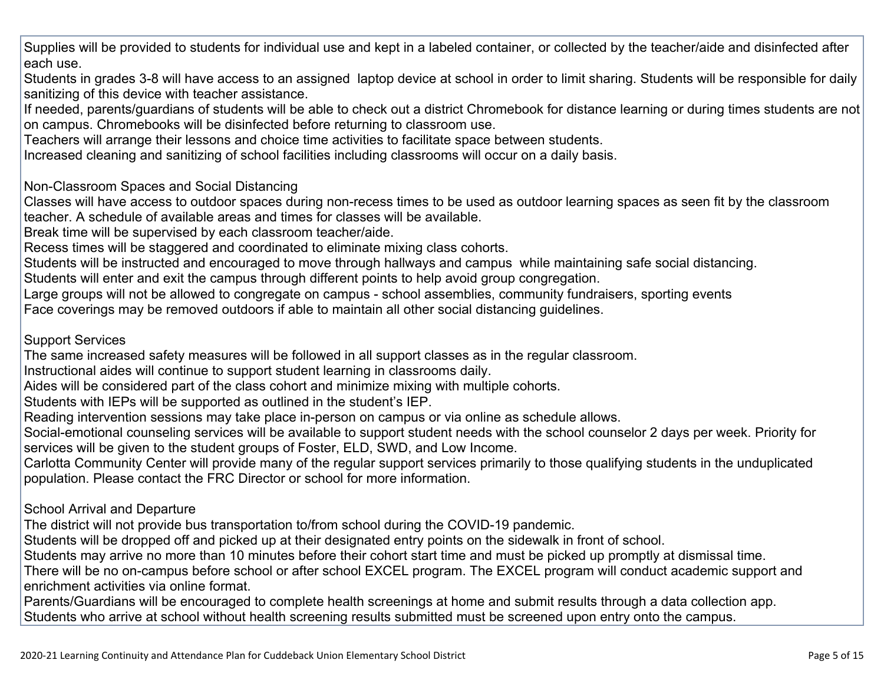Supplies will be provided to students for individual use and kept in a labeled container, or collected by the teacher/aide and disinfected after each use.

Students in grades 3-8 will have access to an assigned laptop device at school in order to limit sharing. Students will be responsible for daily sanitizing of this device with teacher assistance.

If needed, parents/guardians of students will be able to check out a district Chromebook for distance learning or during times students are not on campus. Chromebooks will be disinfected before returning to classroom use.

Teachers will arrange their lessons and choice time activities to facilitate space between students.

Increased cleaning and sanitizing of school facilities including classrooms will occur on a daily basis.

#### Non-Classroom Spaces and Social Distancing

Classes will have access to outdoor spaces during non-recess times to be used as outdoor learning spaces as seen fit by the classroom teacher. A schedule of available areas and times for classes will be available.

Break time will be supervised by each classroom teacher/aide.

Recess times will be staggered and coordinated to eliminate mixing class cohorts.

Students will be instructed and encouraged to move through hallways and campus while maintaining safe social distancing.

Students will enter and exit the campus through different points to help avoid group congregation.

Large groups will not be allowed to congregate on campus - school assemblies, community fundraisers, sporting events

Face coverings may be removed outdoors if able to maintain all other social distancing guidelines.

#### Support Services

The same increased safety measures will be followed in all support classes as in the regular classroom.

Instructional aides will continue to support student learning in classrooms daily.

Aides will be considered part of the class cohort and minimize mixing with multiple cohorts.

Students with IEPs will be supported as outlined in the student's IEP.

Reading intervention sessions may take place in-person on campus or via online as schedule allows.

Social-emotional counseling services will be available to support student needs with the school counselor 2 days per week. Priority for services will be given to the student groups of Foster, ELD, SWD, and Low Income.

Carlotta Community Center will provide many of the regular support services primarily to those qualifying students in the unduplicated population. Please contact the FRC Director or school for more information.

#### School Arrival and Departure

The district will not provide bus transportation to/from school during the COVID-19 pandemic.

Students will be dropped off and picked up at their designated entry points on the sidewalk in front of school.

Students may arrive no more than 10 minutes before their cohort start time and must be picked up promptly at dismissal time.

There will be no on-campus before school or after school EXCEL program. The EXCEL program will conduct academic support and enrichment activities via online format.

Parents/Guardians will be encouraged to complete health screenings at home and submit results through a data collection app. Students who arrive at school without health screening results submitted must be screened upon entry onto the campus.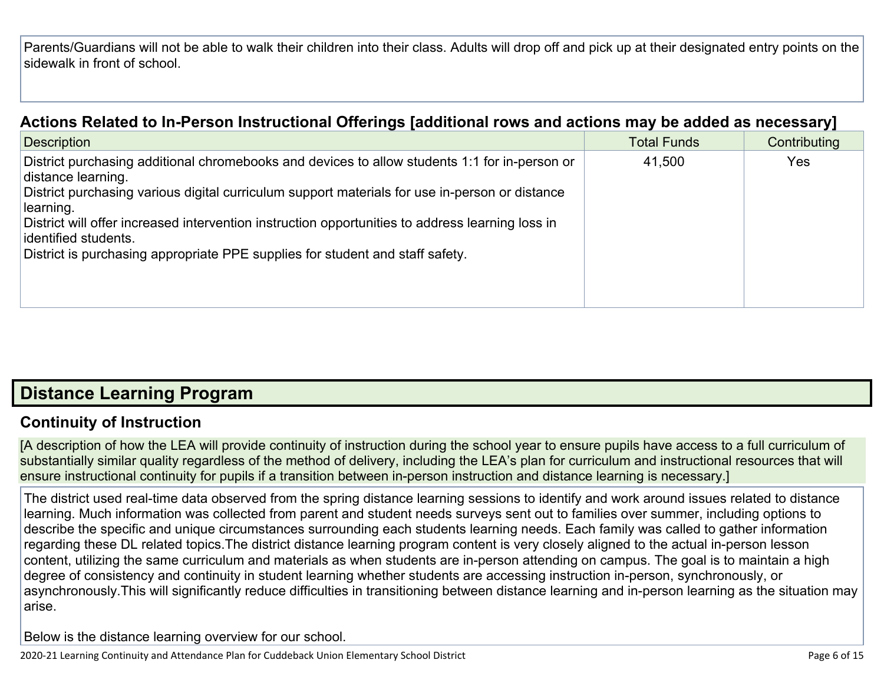Parents/Guardians will not be able to walk their children into their class. Adults will drop off and pick up at their designated entry points on the sidewalk in front of school.

### **Actions Related to In-Person [Instructional](http://www.doc-tracking.com/screenshots/20LCP/Instructions/20LCPInstructions.htm#ContinuityofLearning2) Offerings [additional rows and actions may be added as necessary]**

| <b>Description</b>                                                                                                                                                                                                                                                                                                                                                                                                                              | <b>Total Funds</b> | Contributing |
|-------------------------------------------------------------------------------------------------------------------------------------------------------------------------------------------------------------------------------------------------------------------------------------------------------------------------------------------------------------------------------------------------------------------------------------------------|--------------------|--------------|
| District purchasing additional chromebooks and devices to allow students 1:1 for in-person or<br>distance learning.<br>District purchasing various digital curriculum support materials for use in-person or distance<br>learning.<br>District will offer increased intervention instruction opportunities to address learning loss in<br>identified students.<br>District is purchasing appropriate PPE supplies for student and staff safety. | 41,500             | Yes          |

# **Distance [Learning](http://www.doc-tracking.com/screenshots/20LCP/Instructions/20LCPInstructions.htm#DistanceLearningProgram) Program**

### **Continuity of [Instruction](http://www.doc-tracking.com/screenshots/20LCP/Instructions/20LCPInstructions.htm#DistanceLearningProgram1)**

[A description of how the LEA will provide continuity of instruction during the school year to ensure pupils have access to a full curriculum of substantially similar quality regardless of the method of delivery, including the LEA's plan for curriculum and instructional resources that will ensure instructional continuity for pupils if a transition between in-person instruction and distance learning is necessary.]

The district used real-time data observed from the spring distance learning sessions to identify and work around issues related to distance learning. Much information was collected from parent and student needs surveys sent out to families over summer, including options to describe the specific and unique circumstances surrounding each students learning needs. Each family was called to gather information regarding these DL related topics.The district distance learning program content is very closely aligned to the actual in-person lesson content, utilizing the same curriculum and materials as when students are in-person attending on campus. The goal is to maintain a high degree of consistency and continuity in student learning whether students are accessing instruction in-person, synchronously, or asynchronously.This will significantly reduce difficulties in transitioning between distance learning and in-person learning as the situation may arise.

Below is the distance learning overview for our school.

2020-21 Learning Continuity and Attendance Plan for Cuddeback Union Elementary School District **Page 6 of 16** and the state of 15 and the page 6 of 15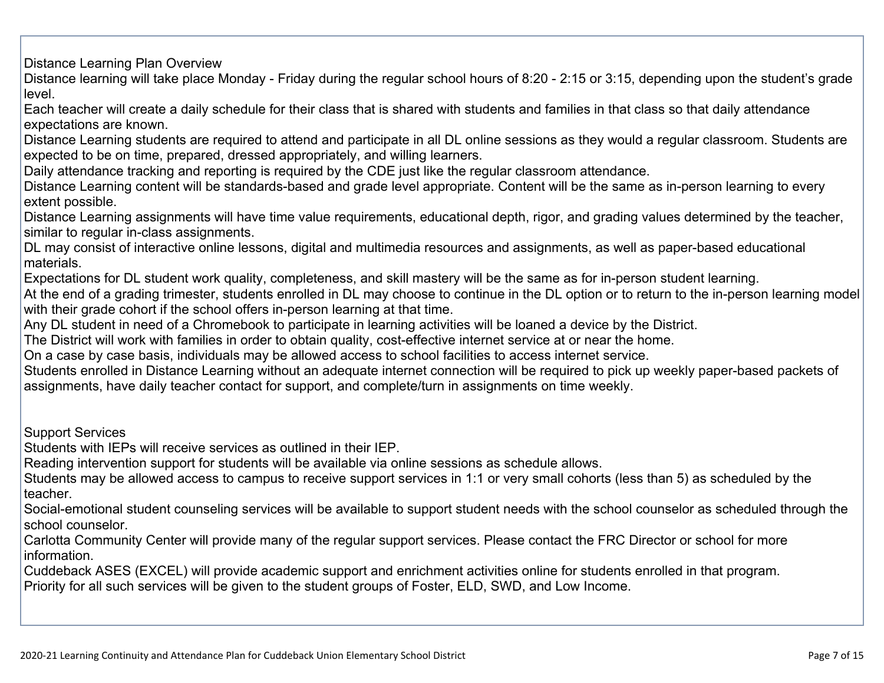Distance Learning Plan Overview

Distance learning will take place Monday - Friday during the regular school hours of 8:20 - 2:15 or 3:15, depending upon the student's grade level.

Each teacher will create a daily schedule for their class that is shared with students and families in that class so that daily attendance expectations are known.

Distance Learning students are required to attend and participate in all DL online sessions as they would a regular classroom. Students are expected to be on time, prepared, dressed appropriately, and willing learners.

Daily attendance tracking and reporting is required by the CDE just like the regular classroom attendance.

Distance Learning content will be standards-based and grade level appropriate. Content will be the same as in-person learning to every extent possible.

Distance Learning assignments will have time value requirements, educational depth, rigor, and grading values determined by the teacher, similar to regular in-class assignments.

DL may consist of interactive online lessons, digital and multimedia resources and assignments, as well as paper-based educational materials.

Expectations for DL student work quality, completeness, and skill mastery will be the same as for in-person student learning.

At the end of a grading trimester, students enrolled in DL may choose to continue in the DL option or to return to the in-person learning model with their grade cohort if the school offers in-person learning at that time.

Any DL student in need of a Chromebook to participate in learning activities will be loaned a device by the District.

The District will work with families in order to obtain quality, cost-effective internet service at or near the home.

On a case by case basis, individuals may be allowed access to school facilities to access internet service.

Students enrolled in Distance Learning without an adequate internet connection will be required to pick up weekly paper-based packets of assignments, have daily teacher contact for support, and complete/turn in assignments on time weekly.

Support Services

Students with IEPs will receive services as outlined in their IEP.

Reading intervention support for students will be available via online sessions as schedule allows.

Students may be allowed access to campus to receive support services in 1:1 or very small cohorts (less than 5) as scheduled by the teacher.

Social-emotional student counseling services will be available to support student needs with the school counselor as scheduled through the school counselor.

Carlotta Community Center will provide many of the regular support services. Please contact the FRC Director or school for more information.

Cuddeback ASES (EXCEL) will provide academic support and enrichment activities online for students enrolled in that program. Priority for all such services will be given to the student groups of Foster, ELD, SWD, and Low Income.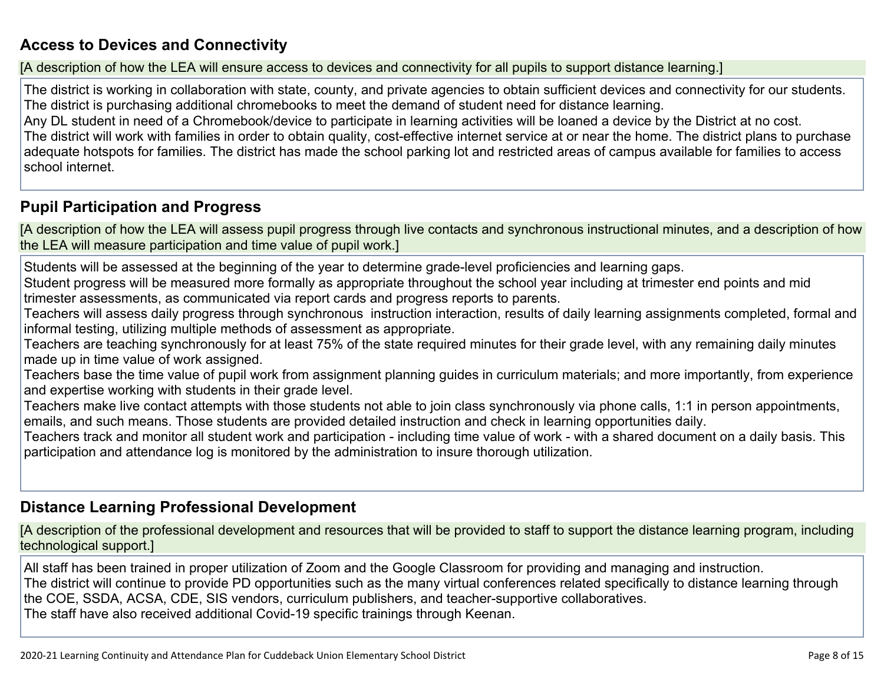### **Access to Devices and [Connectivity](http://www.doc-tracking.com/screenshots/20LCP/Instructions/20LCPInstructions.htm#DistanceLearningProgram2)**

[A description of how the LEA will ensure access to devices and connectivity for all pupils to support distance learning.]

The district is working in collaboration with state, county, and private agencies to obtain sufficient devices and connectivity for our students. The district is purchasing additional chromebooks to meet the demand of student need for distance learning.

Any DL student in need of a Chromebook/device to participate in learning activities will be loaned a device by the District at no cost. The district will work with families in order to obtain quality, cost-effective internet service at or near the home. The district plans to purchase adequate hotspots for families. The district has made the school parking lot and restricted areas of campus available for families to access school internet.

#### **Pupil [Participation](http://www.doc-tracking.com/screenshots/20LCP/Instructions/20LCPInstructions.htm#DistanceLearningProgram3) and Progress**

[A description of how the LEA will assess pupil progress through live contacts and synchronous instructional minutes, and a description of how the LEA will measure participation and time value of pupil work.]

Students will be assessed at the beginning of the year to determine grade-level proficiencies and learning gaps.

Student progress will be measured more formally as appropriate throughout the school year including at trimester end points and mid trimester assessments, as communicated via report cards and progress reports to parents.

Teachers will assess daily progress through synchronous instruction interaction, results of daily learning assignments completed, formal and informal testing, utilizing multiple methods of assessment as appropriate.

Teachers are teaching synchronously for at least 75% of the state required minutes for their grade level, with any remaining daily minutes made up in time value of work assigned.

Teachers base the time value of pupil work from assignment planning guides in curriculum materials; and more importantly, from experience and expertise working with students in their grade level.

Teachers make live contact attempts with those students not able to join class synchronously via phone calls, 1:1 in person appointments, emails, and such means. Those students are provided detailed instruction and check in learning opportunities daily.

Teachers track and monitor all student work and participation - including time value of work - with a shared document on a daily basis. This participation and attendance log is monitored by the administration to insure thorough utilization.

#### **Distance Learning Professional [Development](http://www.doc-tracking.com/screenshots/20LCP/Instructions/20LCPInstructions.htm#DistanceLearningProgram4)**

[A description of the professional development and resources that will be provided to staff to support the distance learning program, including technological support.]

All staff has been trained in proper utilization of Zoom and the Google Classroom for providing and managing and instruction. The district will continue to provide PD opportunities such as the many virtual conferences related specifically to distance learning through the COE, SSDA, ACSA, CDE, SIS vendors, curriculum publishers, and teacher-supportive collaboratives. The staff have also received additional Covid-19 specific trainings through Keenan.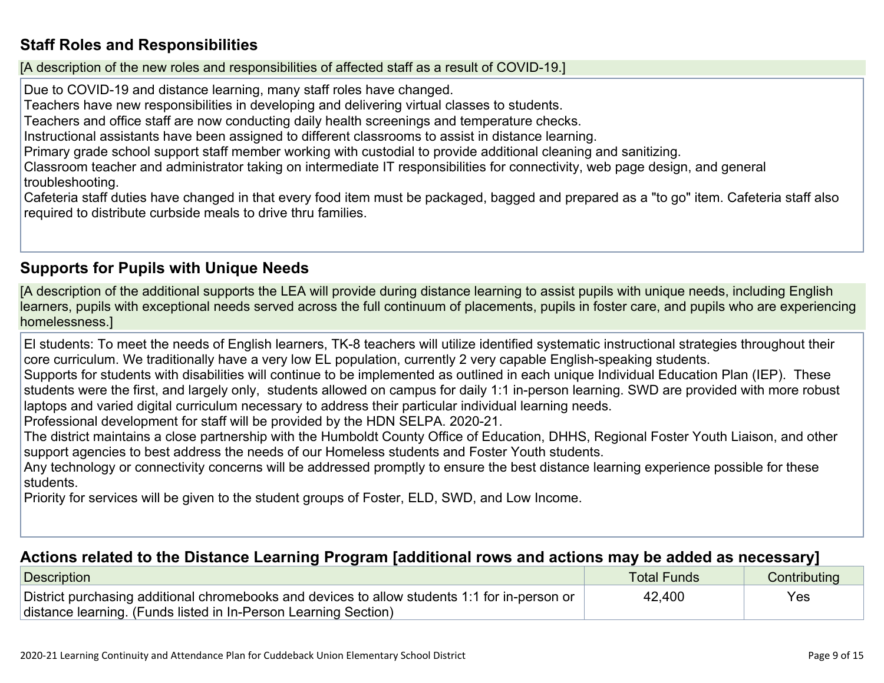### **Staff Roles and [Responsibilities](http://www.doc-tracking.com/screenshots/20LCP/Instructions/20LCPInstructions.htm#DistanceLearningProgram5)**

[A description of the new roles and responsibilities of affected staff as a result of COVID-19.]

Due to COVID-19 and distance learning, many staff roles have changed.

Teachers have new responsibilities in developing and delivering virtual classes to students.

Teachers and office staff are now conducting daily health screenings and temperature checks.

Instructional assistants have been assigned to different classrooms to assist in distance learning.

Primary grade school support staff member working with custodial to provide additional cleaning and sanitizing.

Classroom teacher and administrator taking on intermediate IT responsibilities for connectivity, web page design, and general troubleshooting.

Cafeteria staff duties have changed in that every food item must be packaged, bagged and prepared as a "to go" item. Cafeteria staff also required to distribute curbside meals to drive thru families.

### **[Supports](http://www.doc-tracking.com/screenshots/20LCP/Instructions/20LCPInstructions.htm#DistanceLearningProgram6) for Pupils with Unique Needs**

[A description of the additional supports the LEA will provide during distance learning to assist pupils with unique needs, including English learners, pupils with exceptional needs served across the full continuum of placements, pupils in foster care, and pupils who are experiencing homelessness.]

El students: To meet the needs of English learners, TK-8 teachers will utilize identified systematic instructional strategies throughout their core curriculum. We traditionally have a very low EL population, currently 2 very capable English-speaking students.

Supports for students with disabilities will continue to be implemented as outlined in each unique Individual Education Plan (IEP). These students were the first, and largely only, students allowed on campus for daily 1:1 in-person learning. SWD are provided with more robust laptops and varied digital curriculum necessary to address their particular individual learning needs.

Professional development for staff will be provided by the HDN SELPA. 2020-21.

The district maintains a close partnership with the Humboldt County Office of Education, DHHS, Regional Foster Youth Liaison, and other support agencies to best address the needs of our Homeless students and Foster Youth students.

Any technology or connectivity concerns will be addressed promptly to ensure the best distance learning experience possible for these students.

Priority for services will be given to the student groups of Foster, ELD, SWD, and Low Income.

#### **Actions related to the Distance Learning Program [additional rows and actions may be added as [necessary\]](http://www.doc-tracking.com/screenshots/20LCP/Instructions/20LCPInstructions.htm#DistanceLearningProgram7)**

| Description                                                                                   | <b>Total Funds</b> | Contributing |
|-----------------------------------------------------------------------------------------------|--------------------|--------------|
| District purchasing additional chromebooks and devices to allow students 1:1 for in-person or | 42,400             | Yes          |
| distance learning. (Funds listed in In-Person Learning Section)                               |                    |              |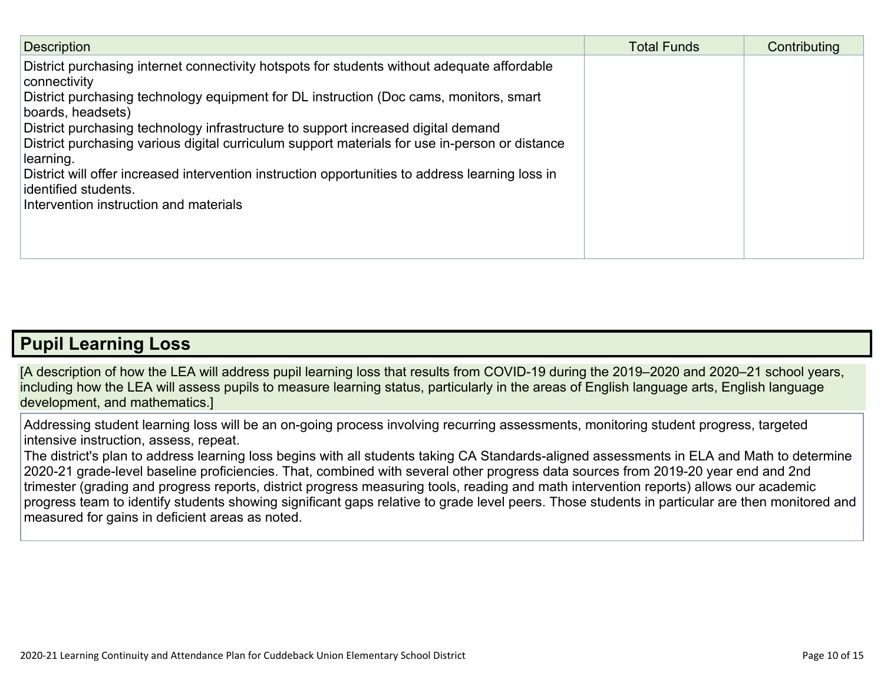| <b>Description</b>                                                                                                                                                                                                                                                                                                                                                                                                                                                                                                                                                                                   | <b>Total Funds</b> | Contributing |
|------------------------------------------------------------------------------------------------------------------------------------------------------------------------------------------------------------------------------------------------------------------------------------------------------------------------------------------------------------------------------------------------------------------------------------------------------------------------------------------------------------------------------------------------------------------------------------------------------|--------------------|--------------|
| District purchasing internet connectivity hotspots for students without adequate affordable<br>connectivity<br>District purchasing technology equipment for DL instruction (Doc cams, monitors, smart<br>boards, headsets)<br>District purchasing technology infrastructure to support increased digital demand<br>District purchasing various digital curriculum support materials for use in-person or distance<br>learning.<br>District will offer increased intervention instruction opportunities to address learning loss in<br>identified students.<br>Intervention instruction and materials |                    |              |

### **Pupil [Learning](http://www.doc-tracking.com/screenshots/20LCP/Instructions/20LCPInstructions.htm#PupilLearningLoss) Loss**

[A description of how the LEA will address pupil learning loss that results from COVID-19 during the 2019–2020 and 2020–21 school years, including how the LEA will assess pupils to measure learning status, particularly in the areas of English language arts, English language development, and mathematics.]

Addressing student learning loss will be an on-going process involving recurring assessments, monitoring student progress, targeted intensive instruction, assess, repeat.

The district's plan to address learning loss begins with all students taking CA Standards-aligned assessments in ELA and Math to determine 2020-21 grade-level baseline proficiencies. That, combined with several other progress data sources from 2019-20 year end and 2nd trimester (grading and progress reports, district progress measuring tools, reading and math intervention reports) allows our academic progress team to identify students showing significant gaps relative to grade level peers. Those students in particular are then monitored and measured for gains in deficient areas as noted.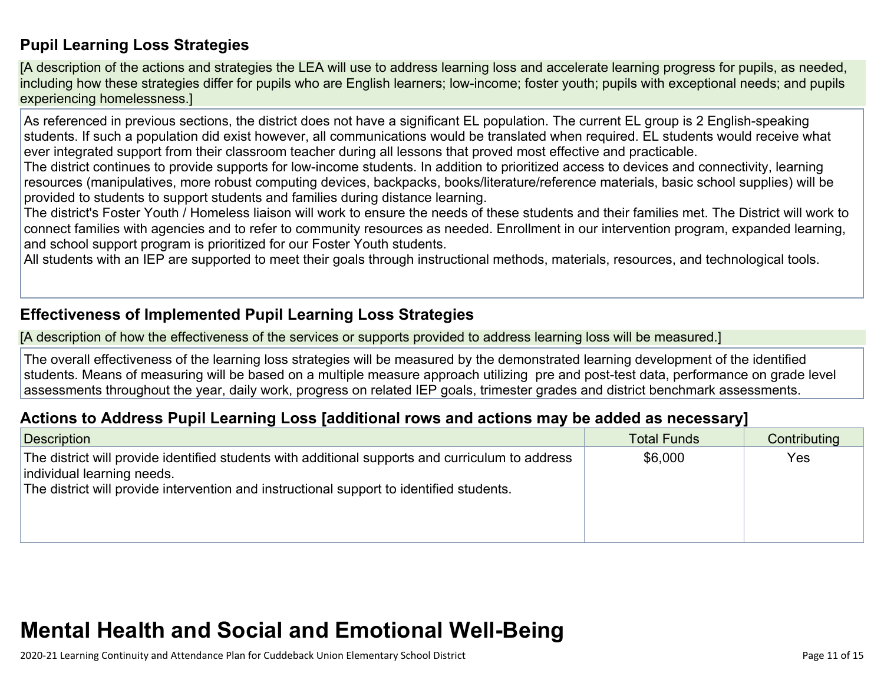### **Pupil Learning Loss [Strategies](http://www.doc-tracking.com/screenshots/20LCP/Instructions/20LCPInstructions.htm#PupilLearningLoss1)**

[A description of the actions and strategies the LEA will use to address learning loss and accelerate learning progress for pupils, as needed, including how these strategies differ for pupils who are English learners; low-income; foster youth; pupils with exceptional needs; and pupils experiencing homelessness.]

As referenced in previous sections, the district does not have a significant EL population. The current EL group is 2 English-speaking students. If such a population did exist however, all communications would be translated when required. EL students would receive what ever integrated support from their classroom teacher during all lessons that proved most effective and practicable.

The district continues to provide supports for low-income students. In addition to prioritized access to devices and connectivity, learning resources (manipulatives, more robust computing devices, backpacks, books/literature/reference materials, basic school supplies) will be provided to students to support students and families during distance learning.

The district's Foster Youth / Homeless liaison will work to ensure the needs of these students and their families met. The District will work to connect families with agencies and to refer to community resources as needed. Enrollment in our intervention program, expanded learning, and school support program is prioritized for our Foster Youth students.

All students with an IEP are supported to meet their goals through instructional methods, materials, resources, and technological tools.

#### **[Effectiveness](http://www.doc-tracking.com/screenshots/20LCP/Instructions/20LCPInstructions.htm#PupilLearningLoss2) of Implemented Pupil Learning Loss Strategies**

[A description of how the effectiveness of the services or supports provided to address learning loss will be measured.]

The overall effectiveness of the learning loss strategies will be measured by the demonstrated learning development of the identified students. Means of measuring will be based on a multiple measure approach utilizing pre and post-test data, performance on grade level assessments throughout the year, daily work, progress on related IEP goals, trimester grades and district benchmark assessments.

### **Actions to Address Pupil Learning Loss [additional rows and actions may be added as [necessary\]](http://www.doc-tracking.com/screenshots/20LCP/Instructions/20LCPInstructions.htm#PupilLearningLoss4)**

| Description                                                                                                                                                                                                                | <b>Total Funds</b> | Contributing |
|----------------------------------------------------------------------------------------------------------------------------------------------------------------------------------------------------------------------------|--------------------|--------------|
| The district will provide identified students with additional supports and curriculum to address<br>individual learning needs.<br>The district will provide intervention and instructional support to identified students. | \$6,000            | Yes          |

# **Mental Health and Social and Emotional [Well-Being](http://www.doc-tracking.com/screenshots/20LCP/Instructions/20LCPInstructions.htm#MentalHealthandSocialandEmotional)**

2020-21 Learning Continuity and Attendance Plan for Cuddeback Union Elementary School District Page 11 of 15 and the state of 15 and the state Page 11 of 15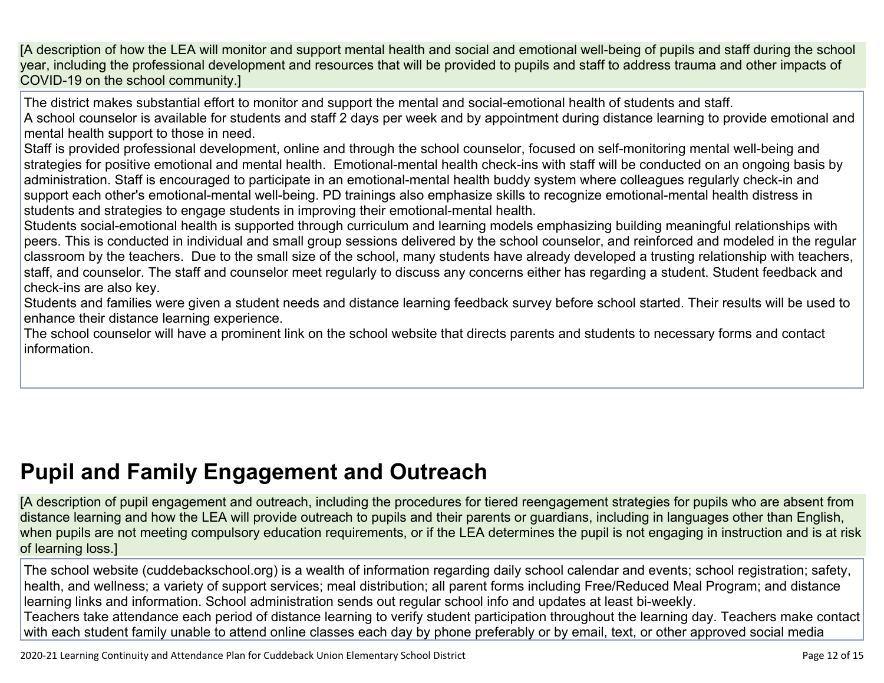[A description of how the LEA will monitor and support mental health and social and emotional well-being of pupils and staff during the school year, including the professional development and resources that will be provided to pupils and staff to address trauma and other impacts of COVID-19 on the school community.]

The district makes substantial effort to monitor and support the mental and social-emotional health of students and staff. A school counselor is available for students and staff 2 days per week and by appointment during distance learning to provide emotional and mental health support to those in need.

Staff is provided professional development, online and through the school counselor, focused on self-monitoring mental well-being and strategies for positive emotional and mental health. Emotional-mental health check-ins with staff will be conducted on an ongoing basis by administration. Staff is encouraged to participate in an emotional-mental health buddy system where colleagues regularly check-in and support each other's emotional-mental well-being. PD trainings also emphasize skills to recognize emotional-mental health distress in students and strategies to engage students in improving their emotional-mental health.

Students social-emotional health is supported through curriculum and learning models emphasizing building meaningful relationships with peers. This is conducted in individual and small group sessions delivered by the school counselor, and reinforced and modeled in the regular classroom by the teachers. Due to the small size of the school, many students have already developed a trusting relationship with teachers, staff, and counselor. The staff and counselor meet regularly to discuss any concerns either has regarding a student. Student feedback and check-ins are also key.

Students and families were given a student needs and distance learning feedback survey before school started. Their results will be used to enhance their distance learning experience.

The school counselor will have a prominent link on the school website that directs parents and students to necessary forms and contact information.

# **Pupil and Family [Engagement](http://www.doc-tracking.com/screenshots/20LCP/Instructions/20LCPInstructions.htm#PupilEngagementandOutreach) and Outreach**

[A description of pupil engagement and outreach, including the procedures for tiered reengagement strategies for pupils who are absent from distance learning and how the LEA will provide outreach to pupils and their parents or guardians, including in languages other than English, when pupils are not meeting compulsory education requirements, or if the LEA determines the pupil is not engaging in instruction and is at risk of learning loss.]

The school website (cuddebackschool.org) is a wealth of information regarding daily school calendar and events; school registration; safety, health, and wellness; a variety of support services; meal distribution; all parent forms including Free/Reduced Meal Program; and distance learning links and information. School administration sends out regular school info and updates at least bi-weekly. Teachers take attendance each period of distance learning to verify student participation throughout the learning day. Teachers make contact with each student family unable to attend online classes each day by phone preferably or by email, text, or other approved social media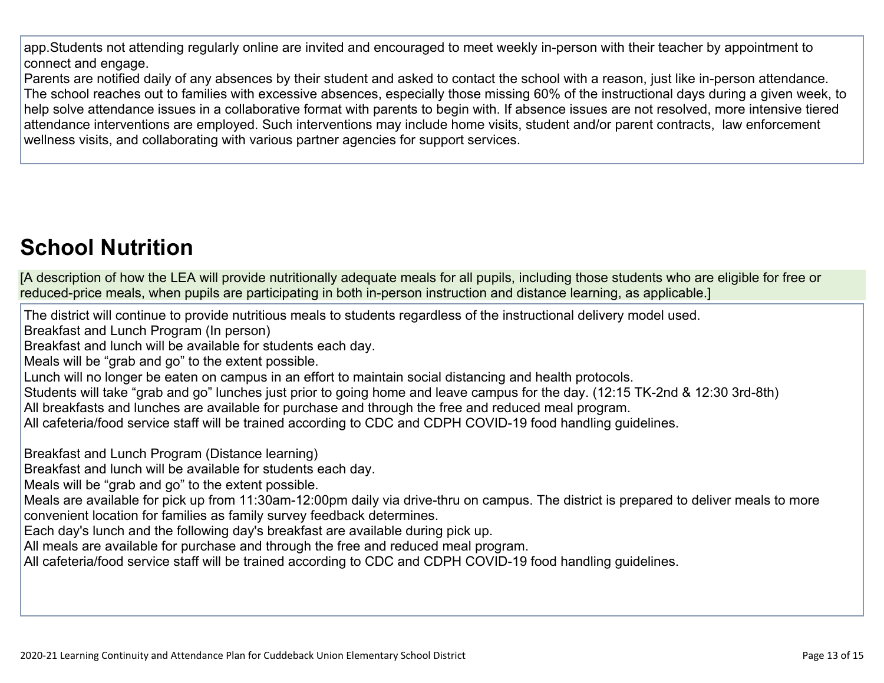app.Students not attending regularly online are invited and encouraged to meet weekly in-person with their teacher by appointment to connect and engage.

Parents are notified daily of any absences by their student and asked to contact the school with a reason, just like in-person attendance. The school reaches out to families with excessive absences, especially those missing 60% of the instructional days during a given week, to help solve attendance issues in a collaborative format with parents to begin with. If absence issues are not resolved, more intensive tiered attendance interventions are employed. Such interventions may include home visits, student and/or parent contracts, law enforcement wellness visits, and collaborating with various partner agencies for support services.

# **School [Nutrition](http://www.doc-tracking.com/screenshots/20LCP/Instructions/20LCPInstructions.htm#SchoolNutrition)**

[A description of how the LEA will provide nutritionally adequate meals for all pupils, including those students who are eligible for free or reduced-price meals, when pupils are participating in both in-person instruction and distance learning, as applicable.]

The district will continue to provide nutritious meals to students regardless of the instructional delivery model used.

Breakfast and Lunch Program (In person)

Breakfast and lunch will be available for students each day.

Meals will be "grab and go" to the extent possible.

Lunch will no longer be eaten on campus in an effort to maintain social distancing and health protocols.

Students will take "grab and go" lunches just prior to going home and leave campus for the day. (12:15 TK-2nd & 12:30 3rd-8th)

All breakfasts and lunches are available for purchase and through the free and reduced meal program.

All cafeteria/food service staff will be trained according to CDC and CDPH COVID-19 food handling guidelines.

Breakfast and Lunch Program (Distance learning)

Breakfast and lunch will be available for students each day.

Meals will be "grab and go" to the extent possible.

Meals are available for pick up from 11:30am-12:00pm daily via drive-thru on campus. The district is prepared to deliver meals to more convenient location for families as family survey feedback determines.

Each day's lunch and the following day's breakfast are available during pick up.

All meals are available for purchase and through the free and reduced meal program.

All cafeteria/food service staff will be trained according to CDC and CDPH COVID-19 food handling guidelines.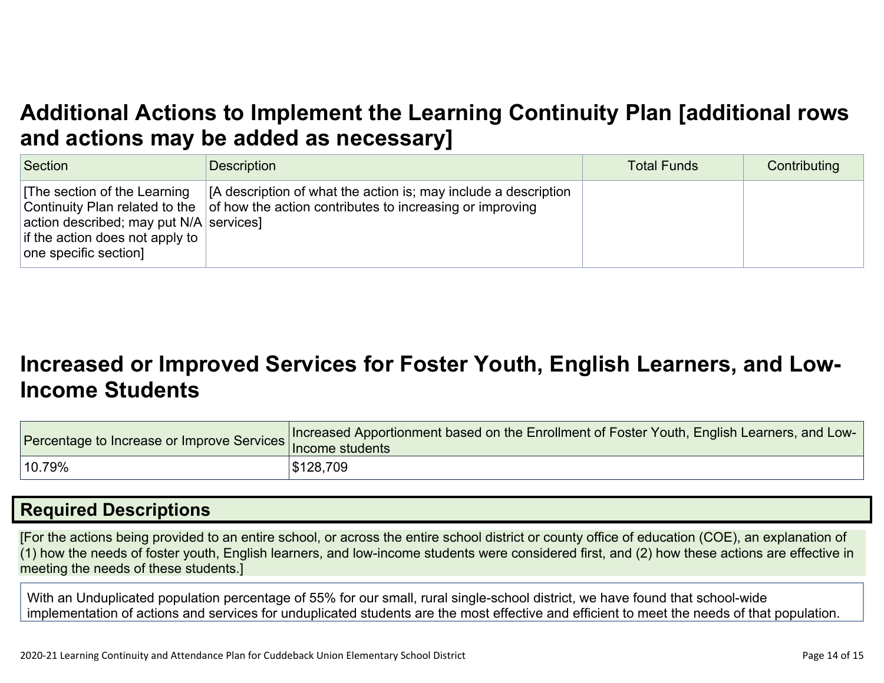# **Additional Actions to Implement the Learning Continuity Plan [\[additional](http://www.doc-tracking.com/screenshots/20LCP/Instructions/20LCPInstructions.htm#AdditionalActions) rows and actions may be added as [necessary\]](http://www.doc-tracking.com/screenshots/20LCP/Instructions/20LCPInstructions.htm#AdditionalActions)**

| Section                                                                                                                              | <b>Description</b>                                                                                                                                                 | <b>Total Funds</b> | Contributing |
|--------------------------------------------------------------------------------------------------------------------------------------|--------------------------------------------------------------------------------------------------------------------------------------------------------------------|--------------------|--------------|
| The section of the Learning<br>action described; may put $N/A$ services]<br>if the action does not apply to<br>one specific section] | [A description of what the action is; may include a description<br>Continuity Plan related to the $\vert$ of how the action contributes to increasing or improving |                    |              |

# **[Increased](http://www.doc-tracking.com/screenshots/20LCP/Instructions/20LCPInstructions.htm#IncreasedorImprovedServices) or Improved Services for Foster Youth, English Learners, and Low-Income [Students](http://www.doc-tracking.com/screenshots/20LCP/Instructions/20LCPInstructions.htm#IncreasedorImprovedServices)**

|        | Forcentage to Increase or Improve Services Increased Apportionment based on the Enrollment of Foster Youth, English Learners, and Lotence 1.1 Income students |
|--------|---------------------------------------------------------------------------------------------------------------------------------------------------------------|
| 10.79% | \$128,709                                                                                                                                                     |

### **Required [Descriptions](http://www.doc-tracking.com/screenshots/20LCP/Instructions/20LCPInstructions.htm#RequiredDescriptions)**

[For the actions being provided to an entire school, or across the entire school district or county office of education (COE), an explanation of (1) how the needs of foster youth, English learners, and low-income students were considered first, and (2) how these actions are effective in meeting the needs of these students.]

With an Unduplicated population percentage of 55% for our small, rural single-school district, we have found that school-wide implementation of actions and services for unduplicated students are the most effective and efficient to meet the needs of that population.